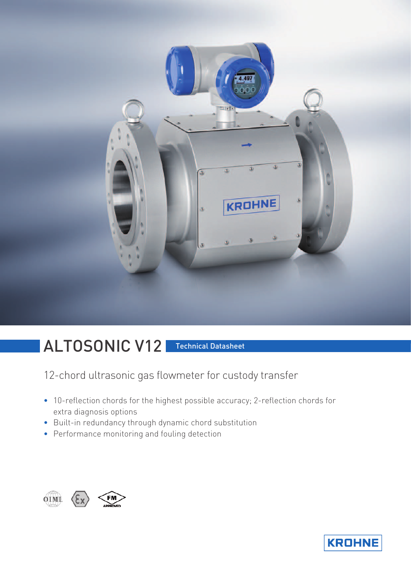

# ALTOSONIC V12 Technical Datasheet

12-chord ultrasonic gas flowmeter for custody transfer

- 10-reflection chords for the highest possible accuracy; 2-reflection chords for extra diagnosis options
- Built-in redundancy through dynamic chord substitution
- Performance monitoring and fouling detection



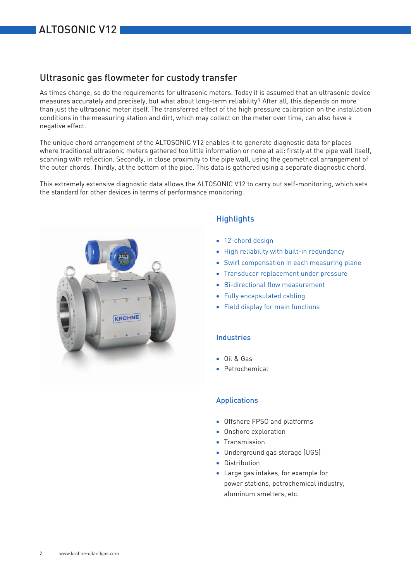### Ultrasonic gas flowmeter for custody transfer

As times change, so do the requirements for ultrasonic meters. Today it is assumed that an ultrasonic device measures accurately and precisely, but what about long-term reliability? After all, this depends on more than just the ultrasonic meter itself. The transferred effect of the high pressure calibration on the installation conditions in the measuring station and dirt, which may collect on the meter over time, can also have a negative effect.

The unique chord arrangement of the ALTOSONIC V12 enables it to generate diagnostic data for places where traditional ultrasonic meters gathered too little information or none at all: firstly at the pipe wall itself, scanning with reflection. Secondly, in close proximity to the pipe wall, using the geometrical arrangement of the outer chords. Thirdly, at the bottom of the pipe. This data is gathered using a separate diagnostic chord.

This extremely extensive diagnostic data allows the ALTOSONIC V12 to carry out self-monitoring, which sets the standard for other devices in terms of performance monitoring.



#### **Highlights**

- 12-chord design
- High reliability with built-in redundancy
- Swirl compensation in each measuring plane
- Transducer replacement under pressure
- Bi-directional flow measurement
- Fully encapsulated cabling
- Field display for main functions

#### Industries

- Oil & Gas
- Petrochemical

#### Applications

- Offshore FPSO and platforms
- Onshore exploration
- Transmission
- Underground gas storage (UGS)
- Distribution
- Large gas intakes, for example for power stations, petrochemical industry, aluminum smelters, etc.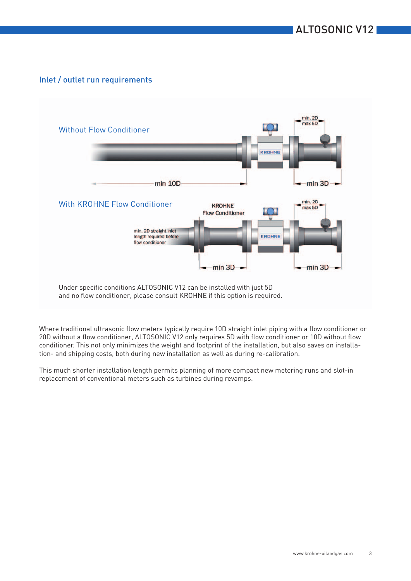#### Inlet / outlet run requirements



and no flow conditioner, please consult KROHNE if this option is required.

Where traditional ultrasonic flow meters typically require 10D straight inlet piping with a flow conditioner or 20D without a flow conditioner, ALTOSONIC V12 only requires 5D with flow conditioner or 10D without flow conditioner. This not only minimizes the weight and footprint of the installation, but also saves on installation- and shipping costs, both during new installation as well as during re-calibration.

This much shorter installation length permits planning of more compact new metering runs and slot-in replacement of conventional meters such as turbines during revamps.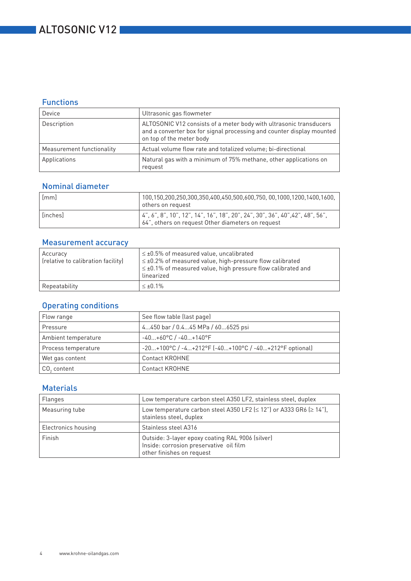#### Functions

| Device                    | Ultrasonic gas flowmeter                                                                                                                                                |  |  |  |  |
|---------------------------|-------------------------------------------------------------------------------------------------------------------------------------------------------------------------|--|--|--|--|
| Description               | ALTOSONIC V12 consists of a meter body with ultrasonic transducers<br>and a converter box for signal processing and counter display mounted<br>on top of the meter body |  |  |  |  |
| Measurement functionality | Actual volume flow rate and totalized volume; bi-directional                                                                                                            |  |  |  |  |
| Applications              | Natural gas with a minimum of 75% methane, other applications on<br>request                                                                                             |  |  |  |  |

#### Nominal diameter

| [mm]     | 100,150,200,250,300,350,400,450,500,600,750,00,1000,1200,1400,1600,<br>others on request                                              |
|----------|---------------------------------------------------------------------------------------------------------------------------------------|
| [inches] | 4", 6", 8", 10", 12", 14", 16", 18", 20", 24", 30", 36", 40",42", 48", 56",<br>$\,$ 64", others on request Other diameters on request |

#### Measurement accuracy

| Accuracy<br>(relative to calibration facility) | $\leq$ ±0.5% of measured value, uncalibrated<br>$\leq \pm 0.2\%$ of measured value, high-pressure flow calibrated<br>$\leq \pm 0.1\%$ of measured value, high pressure flow calibrated and |
|------------------------------------------------|--------------------------------------------------------------------------------------------------------------------------------------------------------------------------------------------|
|                                                | linearized                                                                                                                                                                                 |
| Repeatability                                  | $\leq \pm 0.1\%$                                                                                                                                                                           |

#### Operating conditions

| Flow range          | See flow table (last page)                                                                 |  |  |  |
|---------------------|--------------------------------------------------------------------------------------------|--|--|--|
| Pressure            | 4450 bar / 0.445 MPa / 606525 psi                                                          |  |  |  |
| Ambient temperature | $-40+60$ °C / $-40+140$ °F                                                                 |  |  |  |
| Process temperature | $-20+100\degree C$ / $-4+212\degree F$ ( $-40+100\degree C$ / $-40+212\degree F$ optional) |  |  |  |
| Wet gas content     | <b>Contact KROHNE</b>                                                                      |  |  |  |
| CO, content         | <b>Contact KROHNE</b>                                                                      |  |  |  |

#### **Materials**

| Flanges             | Low temperature carbon steel A350 LF2, stainless steel, duplex                                                           |
|---------------------|--------------------------------------------------------------------------------------------------------------------------|
| Measuring tube      | Low temperature carbon steel A350 LF2 ( $\leq$ 12") or A333 GR6 ( $\geq$ 14"),<br>stainless steel, duplex                |
| Electronics housing | Stainless steel A316                                                                                                     |
| Finish              | Outside: 3-layer epoxy coating RAL 9006 (silver)<br>Inside: corrosion preservative oil film<br>other finishes on request |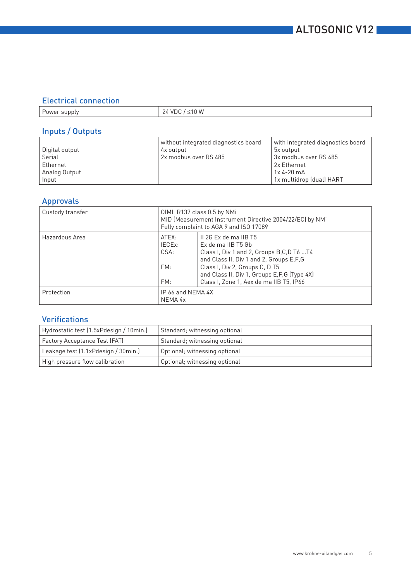#### Electrical connection

| . $110P$<br>$\cdots$ order $\cdots$ | l W<br>΄ 4<br>$27.1001$ $-10.11$ |
|-------------------------------------|----------------------------------|
|                                     |                                  |

### Inputs / Outputs

|                | without integrated diagnostics board | with integrated diagnostics board |
|----------------|--------------------------------------|-----------------------------------|
| Digital output | 4x output                            | 5x output                         |
| Serial         | 2x modbus over RS 485                | 3x modbus over RS 485             |
| Ethernet       |                                      | 2x Ethernet                       |
| Analog Output  |                                      | 1x 4-20 mA                        |
| Input          |                                      | 1x multidrop (dual) HART          |

### Approvals

| Custody transfer | OIML R137 class 0.5 by NMi<br>MID (Measurement Instrument Directive 2004/22/EC) by NMi<br>Fully complaint to AGA 9 and ISO 17089                                                                                                                                                                           |  |  |  |  |
|------------------|------------------------------------------------------------------------------------------------------------------------------------------------------------------------------------------------------------------------------------------------------------------------------------------------------------|--|--|--|--|
| Hazardous Area   | II 2G Ex de ma IIB T5<br>ATEX:<br>IECEx:<br>Ex de ma IIB T5 Gb<br>CSA:<br>Class I, Div 1 and 2, Groups B, C, D T6  T4<br>and Class II, Div 1 and 2, Groups E,F,G<br>Class I, Div 2, Groups C, D T5<br>FM:<br>and Class II, Div 1, Groups E,F,G (Type 4X)<br>Class I, Zone 1, Aex de ma IIB T5, IP66<br>FM: |  |  |  |  |
| Protection       | IP 66 and NEMA 4X<br>NEMA 4x                                                                                                                                                                                                                                                                               |  |  |  |  |

### **Verifications**

| Hydrostatic test (1.5xPdesign / 10min.) | Standard; witnessing optional |
|-----------------------------------------|-------------------------------|
| Factory Acceptance Test (FAT)           | Standard; witnessing optional |
| Leakage test (1.1xPdesign / 30min.)     | Optional; witnessing optional |
| High pressure flow calibration          | Optional; witnessing optional |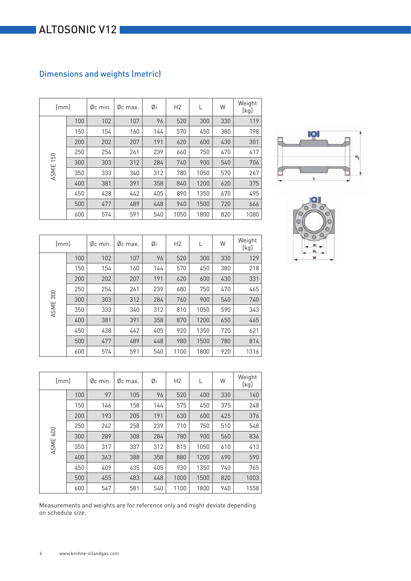## Dimensions and weights (metric)

| [mm] |     | $\emptyset$ c min. | $\emptyset$ c max. | Øi  | H <sub>2</sub> | L    | W   | Weight<br>[kg] |
|------|-----|--------------------|--------------------|-----|----------------|------|-----|----------------|
|      | 100 | 102                | 107                | 96  | 520            | 300  | 330 | 119            |
|      | 150 | 154                | 160                | 144 | 570            | 450  | 380 | 198            |
|      | 200 | 202                | 207                | 191 | 620            | 600  | 430 | 301            |
|      | 250 | 254                | 261                | 239 | 660            | 750  | 470 | 417            |
| 150  | 300 | 303                | 312                | 284 | 740            | 900  | 540 | 706            |
| ASME | 350 | 333                | 340                | 312 | 780            | 1050 | 570 | 267            |
|      | 400 | 381                | 391                | 358 | 840            | 1200 | 620 | 375            |
|      | 450 | 428                | 442                | 405 | 890            | 1350 | 670 | 495            |
|      | 500 | 477                | 489                | 448 | 940            | 1500 | 720 | 666            |
|      | 600 | 574                | 591                | 540 | 1050           | 1800 | 820 | 1080           |





| [mm]  |     | $\emptyset$ c min. | Øc max. | Øi  | H <sub>2</sub> |      | W   | Weight<br>[kg] |
|-------|-----|--------------------|---------|-----|----------------|------|-----|----------------|
|       | 100 | 102                | 107     | 96  | 520            | 300  | 330 | 129            |
|       | 150 | 154                | 160     | 144 | 570            | 450  | 380 | 218            |
|       | 200 | 202                | 207     | 191 | 620            | 600  | 430 | 331            |
|       | 250 | 254                | 261     | 239 | 680            | 750  | 470 | 465            |
| 300   | 300 | 303                | 312     | 284 | 760            | 900  | 540 | 740            |
| ASME: | 350 | 333                | 340     | 312 | 810            | 1050 | 590 | 343            |
|       | 400 | 381                | 391     | 358 | 870            | 1200 | 650 | 465            |
|       | 450 | 428                | 442     | 405 | 920            | 1350 | 720 | 621            |
|       | 500 | 477                | 489     | 448 | 980            | 1500 | 780 | 814            |
|       | 600 | 574                | 591     | 540 | 1100           | 1800 | 920 | 1316           |

| [mm] |     | $\emptyset$ c min. | $\emptyset$ c max. | Øi  | H <sub>2</sub> |      | W   | Weight<br>[kg] |
|------|-----|--------------------|--------------------|-----|----------------|------|-----|----------------|
|      | 100 | 97                 | 105                | 96  | 520            | 400  | 330 | 140            |
|      | 150 | 146                | 158                | 144 | 575            | 450  | 375 | 248            |
|      | 200 | 193                | 205                | 191 | 630            | 600  | 425 | 376            |
|      | 250 | 242                | 258                | 239 | 710            | 750  | 510 | 548            |
| 600  | 300 | 289                | 308                | 284 | 780            | 900  | 560 | 836            |
| ASME | 350 | 317                | 337                | 312 | 815            | 1050 | 610 | 413            |
|      | 400 | 363                | 388                | 358 | 880            | 1200 | 690 | 590            |
|      | 450 | 409                | 435                | 405 | 930            | 1350 | 740 | 765            |
|      | 500 | 455                | 483                | 448 | 1000           | 1500 | 820 | 1003           |
|      | 600 | 547                | 581                | 540 | 1100           | 1800 | 940 | 1558           |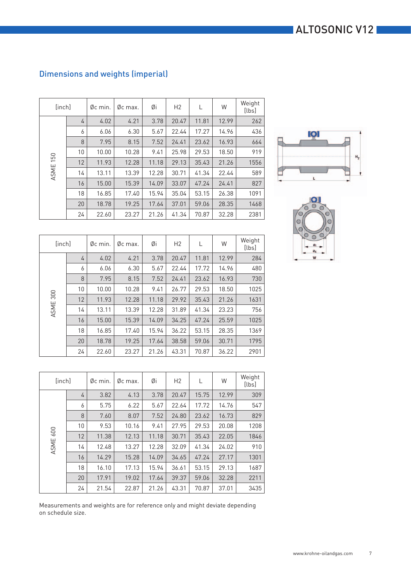|  | [inch] |    | $\emptyset$ c min. | $\emptyset$ c max. | Øi    | H <sub>2</sub> |       | W     | Weight<br>[lbs] |
|--|--------|----|--------------------|--------------------|-------|----------------|-------|-------|-----------------|
|  |        | 4  | 4.02               | 4.21               | 3.78  | 20.47          | 11.81 | 12.99 | 262             |
|  |        | 6  | 6.06               | 6.30               | 5.67  | 22.44          | 17.27 | 14.96 | 436             |
|  |        | 8  | 7.95               | 8.15               | 7.52  | 24.41          | 23.62 | 16.93 | 664             |
|  | 150    | 10 | 10.00              | 10.28              | 9.41  | 25.98          | 29.53 | 18.50 | 919             |
|  |        | 12 | 11.93              | 12.28              | 11.18 | 29.13          | 35.43 | 21.26 | 1556            |
|  | ASME : | 14 | 13.11              | 13.39              | 12.28 | 30.71          | 41.34 | 22.44 | 589             |
|  |        | 16 | 15.00              | 15.39              | 14.09 | 33.07          | 47.24 | 24.41 | 827             |
|  |        | 18 | 16.85              | 17.40              | 15.94 | 35.04          | 53.15 | 26.38 | 1091            |
|  |        | 20 | 18.78              | 19.25              | 17.64 | 37.01          | 59.06 | 28.35 | 1468            |
|  |        | 24 | 22.60              | 23.27              | 21.26 | 41.34          | 70.87 | 32.28 | 2381            |

## Dimensions and weights (imperial)





| [inch]   |                 | $\emptyset$ c min. | $\emptyset$ c max. | Øi    | H <sub>2</sub> | L     | W     | Weight<br>$[l$ bs] |
|----------|-----------------|--------------------|--------------------|-------|----------------|-------|-------|--------------------|
|          | 4               | 4.02               | 4.21               | 3.78  | 20.47          | 11.81 | 12.99 | 284                |
|          | 6               | 6.06               | 6.30               | 5.67  | 22.44          | 17.72 | 14.96 | 480                |
|          | 8               | 7.95               | 8.15               | 7.52  | 24.41          | 23.62 | 16.93 | 730                |
|          | 10 <sup>1</sup> | 10.00              | 10.28              | 9.41  | 26.77          | 29.53 | 18.50 | 1025               |
|          | 12              | 11.93              | 12.28              | 11.18 | 29.92          | 35.43 | 21.26 | 1631               |
| ASME 300 | 14              | 13.11              | 13.39              | 12.28 | 31.89          | 41.34 | 23.23 | 756                |
|          | 16              | 15.00              | 15.39              | 14.09 | 34.25          | 47.24 | 25.59 | 1025               |
|          | 18              | 16.85              | 17.40              | 15.94 | 36.22          | 53.15 | 28.35 | 1369               |
|          | 20              | 18.78              | 19.25              | 17.64 | 38.58          | 59.06 | 30.71 | 1795               |
|          | 24              | 22.60              | 23.27              | 21.26 | 43.31          | 70.87 | 36.22 | 2901               |

| [inch]   |                 | $\emptyset$ c min. | $\emptyset$ c max. | Øi    | H <sub>2</sub> | L     | W     | Weight<br>[lbs] |
|----------|-----------------|--------------------|--------------------|-------|----------------|-------|-------|-----------------|
|          | 4               | 3.82               | 4.13               | 3.78  | 20.47          | 15.75 | 12.99 | 309             |
|          | 6               | 5.75               | 6.22               | 5.67  | 22.64          | 17.72 | 14.76 | 547             |
|          | 8               | 7.60               | 8.07               | 7.52  | 24.80          | 23.62 | 16.73 | 829             |
|          | 10 <sup>°</sup> | 9.53               | 10.16              | 9.41  | 27.95          | 29.53 | 20.08 | 1208            |
| ASME 600 | 12              | 11.38              | 12.13              | 11.18 | 30.71          | 35.43 | 22.05 | 1846            |
|          | 14              | 12.48              | 13.27              | 12.28 | 32.09          | 41.34 | 24.02 | 910             |
|          | 16              | 14.29              | 15.28              | 14.09 | 34.65          | 47.24 | 27.17 | 1301            |
|          | 18              | 16.10              | 17.13              | 15.94 | 36.61          | 53.15 | 29.13 | 1687            |
|          | 20              | 17.91              | 19.02              | 17.64 | 39.37          | 59.06 | 32.28 | 2211            |
|          | 24              | 21.54              | 22.87              | 21.26 | 43.31          | 70.87 | 37.01 | 3435            |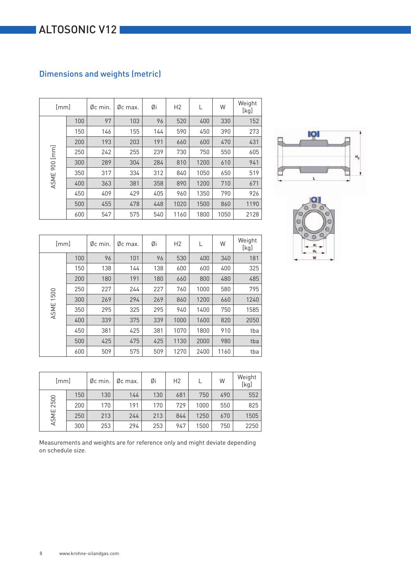## Dimensions and weights (metric)

| [mm]          |     | $\emptyset$ c min. | $\emptyset$ c max. | Øi  | H <sub>2</sub> |      | W    | Weight<br>[kg] |
|---------------|-----|--------------------|--------------------|-----|----------------|------|------|----------------|
|               | 100 | 97                 | 103                | 96  | 520            | 400  | 330  | 152            |
|               | 150 | 146                | 155                | 144 | 590            | 450  | 390  | 273            |
|               | 200 | 193                | 203                | 191 | 660            | 600  | 470  | 431            |
| ASME 900 [mm] | 250 | 242                | 255                | 239 | 730            | 750  | 550  | 605            |
|               | 300 | 289                | 304                | 284 | 810            | 1200 | 610  | 941            |
|               | 350 | 317                | 334                | 312 | 840            | 1050 | 650  | 519            |
|               | 400 | 363                | 381                | 358 | 890            | 1200 | 710  | 671            |
|               | 450 | 409                | 429                | 405 | 960            | 1350 | 790  | 926            |
|               | 500 | 455                | 478                | 448 | 1020           | 1500 | 860  | 1190           |
|               | 600 | 547                | 575                | 540 | 1160           | 1800 | 1050 | 2128           |





| [mm]      |     | $\emptyset$ c min. | $\emptyset$ c max. | Øi  | H <sub>2</sub> |      | W    | Weight<br>[kg] |
|-----------|-----|--------------------|--------------------|-----|----------------|------|------|----------------|
|           | 100 | 96                 | 101                | 96  | 530            | 400  | 340  | 181            |
|           | 150 | 138                | 144                | 138 | 600            | 600  | 400  | 325            |
|           | 200 | 180                | 191                | 180 | 660            | 800  | 480  | 485            |
|           | 250 | 227                | 244                | 227 | 760            | 1000 | 580  | 795            |
| ASME 1500 | 300 | 269                | 294                | 269 | 860            | 1200 | 660  | 1240           |
|           | 350 | 295                | 325                | 295 | 940            | 1400 | 750  | 1585           |
|           | 400 | 339                | 375                | 339 | 1000           | 1600 | 820  | 2050           |
|           | 450 | 381                | 425                | 381 | 1070           | 1800 | 910  | tba            |
|           | 500 | 425                | 475                | 425 | 1130           | 2000 | 980  | tba            |
|           | 600 | 509                | 575                | 509 | 1270           | 2400 | 1160 | tba            |

| [mm] |     | $\emptyset$ c min. | $\emptyset$ c max. | Øi  | Η2  |      | W   | Weight<br>[kg] |
|------|-----|--------------------|--------------------|-----|-----|------|-----|----------------|
|      | 150 | 130                | 144                | 130 | 681 | 750  | 490 | 552            |
| 2500 | 200 | 170                | 191                | 170 | 729 | 1000 | 550 | 825            |
| ASME | 250 | 213                | 244                | 213 | 844 | 1250 | 670 | 1505           |
|      | 300 | 253                | 294                | 253 | 947 | 1500 | 750 | 2250           |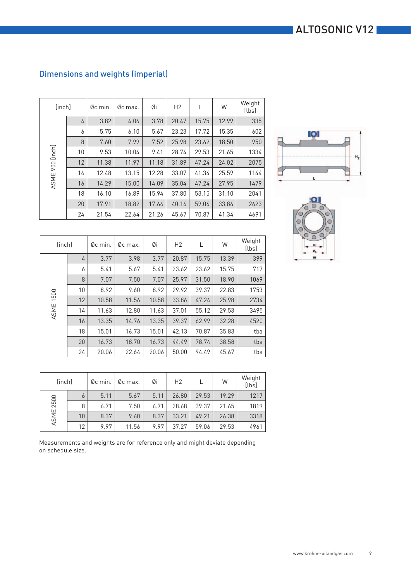| [inch]     |    | $\emptyset$ c min. | $\emptyset$ c max. | Øi    | H <sub>2</sub> | L     | W     | Weight<br>$[l$ bs] |
|------------|----|--------------------|--------------------|-------|----------------|-------|-------|--------------------|
|            | 4  | 3.82               | 4.06               | 3.78  | 20.47          | 15.75 | 12.99 | 335                |
|            | 6  | 5.75               | 6.10               | 5.67  | 23.23          | 17.72 | 15.35 | 602                |
|            | 8  | 7.60               | 7.99               | 7.52  | 25.98          | 23.62 | 18.50 | 950                |
| 900 [inch] | 10 | 9.53               | 10.04              | 9.41  | 28.74          | 29.53 | 21.65 | 1334               |
|            | 12 | 11.38              | 11.97              | 11.18 | 31.89          | 47.24 | 24.02 | 2075               |
|            | 14 | 12.48              | 13.15              | 12.28 | 33.07          | 41.34 | 25.59 | 1144               |
| ASME       | 16 | 14.29              | 15.00              | 14.09 | 35.04          | 47.24 | 27.95 | 1479               |
|            | 18 | 16.10              | 16.89              | 15.94 | 37.80          | 53.15 | 31.10 | 2041               |
|            | 20 | 17.91              | 18.82              | 17.64 | 40.16          | 59.06 | 33.86 | 2623               |
|            | 24 | 21.54              | 22.64              | 21.26 | 45.67          | 70.87 | 41.34 | 4691               |

## Dimensions and weights (imperial)





| [inch]    |    | $\emptyset$ c min. | $\emptyset$ c max. | Øi    | H <sub>2</sub> | L     | W     | Weight<br>[lbs] |
|-----------|----|--------------------|--------------------|-------|----------------|-------|-------|-----------------|
|           | 4  | 3.77               | 3.98               | 3.77  | 20.87          | 15.75 | 13.39 | 399             |
|           | 6  | 5.41               | 5.67               | 5.41  | 23.62          | 23.62 | 15.75 | 717             |
|           | 8  | 7.07               | 7.50               | 7.07  | 25.97          | 31.50 | 18.90 | 1069            |
|           | 10 | 8.92               | 9.60               | 8.92  | 29.92          | 39.37 | 22.83 | 1753            |
|           | 12 | 10.58              | 11.56              | 10.58 | 33.86          | 47.24 | 25.98 | 2734            |
| ASME 1500 | 14 | 11.63              | 12.80              | 11.63 | 37.01          | 55.12 | 29.53 | 3495            |
|           | 16 | 13.35              | 14.76              | 13.35 | 39.37          | 62.99 | 32.28 | 4520            |
|           | 18 | 15.01              | 16.73              | 15.01 | 42.13          | 70.87 | 35.83 | tba             |
|           | 20 | 16.73              | 18.70              | 16.73 | 44.49          | 78.74 | 38.58 | tba             |
|           | 24 | 20.06              | 22.64              | 20.06 | 50.00          | 94.49 | 45.67 | tba             |

| [inch] |    | $\emptyset$ c min. | $\emptyset$ c max. | Øi   | H <sub>2</sub> |       | W     | Weight<br>$[l$ bs] |
|--------|----|--------------------|--------------------|------|----------------|-------|-------|--------------------|
|        | b  | 5.11               | 5.67               | 5.11 | 26.80          | 29.53 | 19.29 | 1217               |
| 2500   | 8  | 6.71               | 7.50               | 6.71 | 28.68          | 39.37 | 21.65 | 1819               |
| ASME   | 10 | 8.37               | 9.60               | 8.37 | 33.21          | 49.21 | 26.38 | 3318               |
|        | 12 | 9.97               | 11.56              | 9.97 | 37.27          | 59.06 | 29.53 | 4961               |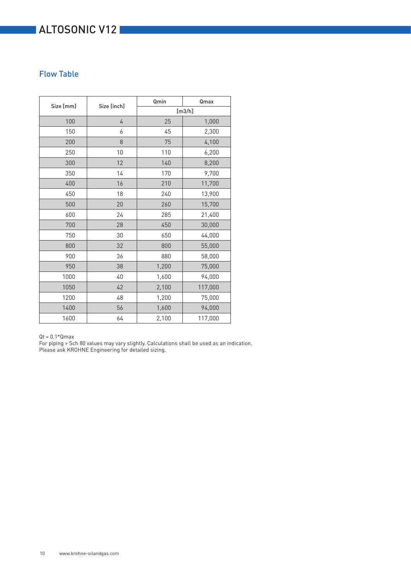## **ALTOSONIC V12**

### Flow Table

| Size [mm] | Size [inch] | Qmin  | Qmax    |  |
|-----------|-------------|-------|---------|--|
|           |             |       | [m3/h]  |  |
| 100       | 4           | 25    | 1,000   |  |
| 150       | 6           | 45    | 2,300   |  |
| 200       | 8           | 75    | 4,100   |  |
| 250       | 10          | 110   | 6,200   |  |
| 300       | 12          | 140   | 8,200   |  |
| 350       | 14          | 170   | 9,700   |  |
| 400       | 16          | 210   | 11,700  |  |
| 450       | 18          | 240   | 13,900  |  |
| 500       | 20          | 260   | 15,700  |  |
| 600       | 24          | 285   | 21,400  |  |
| 700       | 28          | 450   | 30,000  |  |
| 750       | 30          | 650   | 44,000  |  |
| 800       | 32          | 800   | 55,000  |  |
| 900       | 36          | 880   | 58,000  |  |
| 950       | 38          | 1,200 | 75,000  |  |
| 1000      | 40          | 1,600 | 94,000  |  |
| 1050      | 42          | 2,100 | 117,000 |  |
| 1200      | 48          | 1,200 | 75,000  |  |
| 1400      | 56          | 1,600 | 94,000  |  |
| 1600      | 64          | 2,100 | 117,000 |  |

 $Qt = 0.1*Qmax$ 

For piping > Sch 80 values may vary slightly. Calculations shall be used as an indication. Please ask KROHNE Engineering for detailed sizing.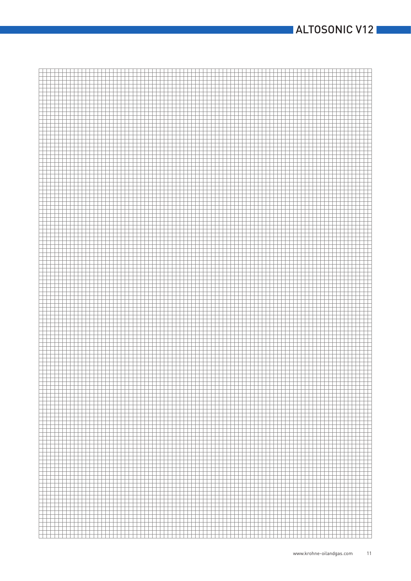## ALTOSONIC V12